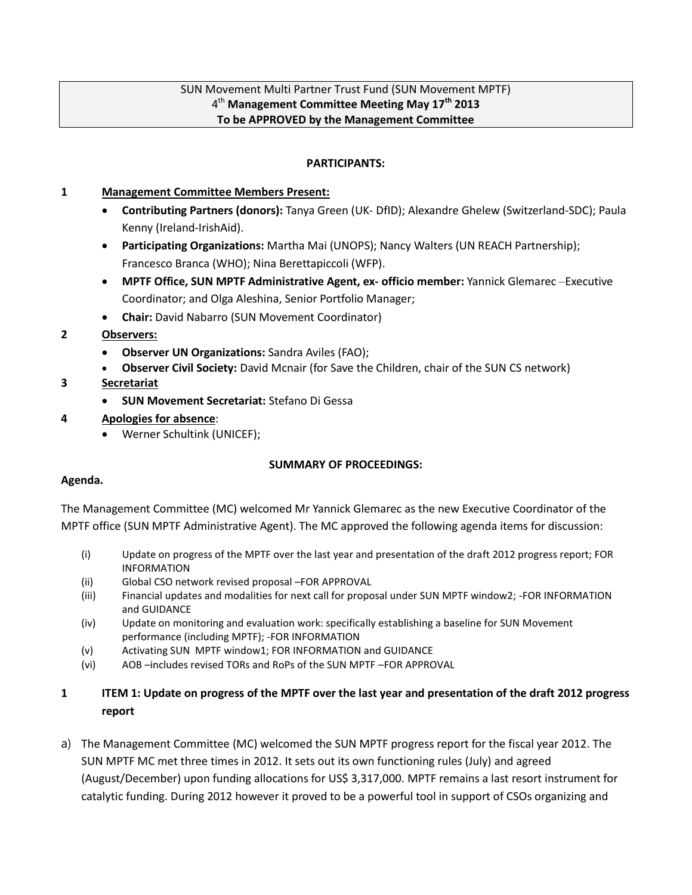### SUN Movement Multi Partner Trust Fund (SUN Movement MPTF) 4 th **Management Committee Meeting May 17th 2013 To be APPROVED by the Management Committee**

#### **PARTICIPANTS:**

#### **1 Management Committee Members Present:**

- **Contributing Partners (donors):** Tanya Green (UK- DfID); Alexandre Ghelew (Switzerland-SDC); Paula Kenny (Ireland-IrishAid).
- **Participating Organizations:** Martha Mai (UNOPS); Nancy Walters (UN REACH Partnership); Francesco Branca (WHO); Nina Berettapiccoli (WFP).
- **MPTF Office, SUN MPTF Administrative Agent, ex- officio member:** Yannick Glemarec –Executive Coordinator; and Olga Aleshina, Senior Portfolio Manager;
- **Chair:** David Nabarro (SUN Movement Coordinator)
- **2 Observers:** 
	- **Observer UN Organizations:** Sandra Aviles (FAO);
	- **Observer Civil Society:** David Mcnair (for Save the Children, chair of the SUN CS network)

### **3 Secretariat**

- **SUN Movement Secretariat:** Stefano Di Gessa
- **4 Apologies for absence**:
	- Werner Schultink (UNICEF);

### **SUMMARY OF PROCEEDINGS:**

### **Agenda.**

The Management Committee (MC) welcomed Mr Yannick Glemarec as the new Executive Coordinator of the MPTF office (SUN MPTF Administrative Agent). The MC approved the following agenda items for discussion:

- (i) Update on progress of the MPTF over the last year and presentation of the draft 2012 progress report; FOR INFORMATION
- (ii) Global CSO network revised proposal –FOR APPROVAL
- (iii) Financial updates and modalities for next call for proposal under SUN MPTF window2; -FOR INFORMATION and GUIDANCE
- (iv) Update on monitoring and evaluation work: specifically establishing a baseline for SUN Movement performance (including MPTF); -FOR INFORMATION
- (v) Activating SUN MPTF window1; FOR INFORMATION and GUIDANCE
- (vi) AOB –includes revised TORs and RoPs of the SUN MPTF –FOR APPROVAL

# **1 ITEM 1: Update on progress of the MPTF over the last year and presentation of the draft 2012 progress report**

a) The Management Committee (MC) welcomed the SUN MPTF progress report for the fiscal year 2012. The SUN MPTF MC met three times in 2012. It sets out its own functioning rules (July) and agreed (August/December) upon funding allocations for US\$ 3,317,000. MPTF remains a last resort instrument for catalytic funding. During 2012 however it proved to be a powerful tool in support of CSOs organizing and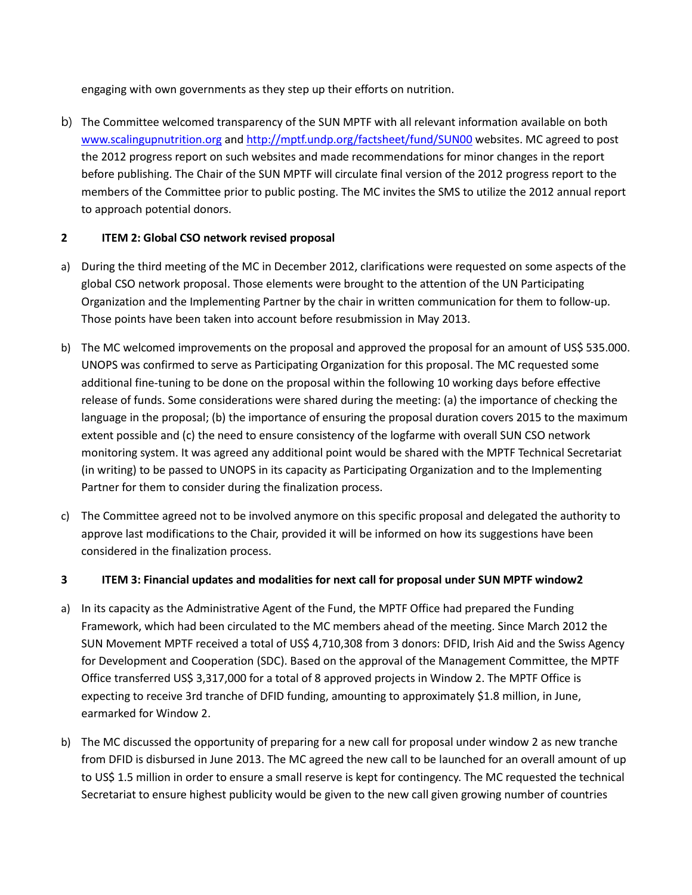engaging with own governments as they step up their efforts on nutrition.

b) The Committee welcomed transparency of the SUN MPTF with all relevant information available on both [www.scalingupnutrition.org](http://www.scalingupnutrition.org/) and<http://mptf.undp.org/factsheet/fund/SUN00> websites. MC agreed to post the 2012 progress report on such websites and made recommendations for minor changes in the report before publishing. The Chair of the SUN MPTF will circulate final version of the 2012 progress report to the members of the Committee prior to public posting. The MC invites the SMS to utilize the 2012 annual report to approach potential donors.

# **2 ITEM 2: Global CSO network revised proposal**

- a) During the third meeting of the MC in December 2012, clarifications were requested on some aspects of the global CSO network proposal. Those elements were brought to the attention of the UN Participating Organization and the Implementing Partner by the chair in written communication for them to follow-up. Those points have been taken into account before resubmission in May 2013.
- b) The MC welcomed improvements on the proposal and approved the proposal for an amount of US\$ 535.000. UNOPS was confirmed to serve as Participating Organization for this proposal. The MC requested some additional fine-tuning to be done on the proposal within the following 10 working days before effective release of funds. Some considerations were shared during the meeting: (a) the importance of checking the language in the proposal; (b) the importance of ensuring the proposal duration covers 2015 to the maximum extent possible and (c) the need to ensure consistency of the logfarme with overall SUN CSO network monitoring system. It was agreed any additional point would be shared with the MPTF Technical Secretariat (in writing) to be passed to UNOPS in its capacity as Participating Organization and to the Implementing Partner for them to consider during the finalization process.
- c) The Committee agreed not to be involved anymore on this specific proposal and delegated the authority to approve last modifications to the Chair, provided it will be informed on how its suggestions have been considered in the finalization process.

# **3 ITEM 3: Financial updates and modalities for next call for proposal under SUN MPTF window2**

- a) In its capacity as the Administrative Agent of the Fund, the MPTF Office had prepared the Funding Framework, which had been circulated to the MC members ahead of the meeting. Since March 2012 the SUN Movement MPTF received a total of US\$ 4,710,308 from 3 donors: DFID, Irish Aid and the Swiss Agency for Development and Cooperation (SDC). Based on the approval of the Management Committee, the MPTF Office transferred US\$ 3,317,000 for a total of 8 approved projects in Window 2. The MPTF Office is expecting to receive 3rd tranche of DFID funding, amounting to approximately \$1.8 million, in June, earmarked for Window 2.
- b) The MC discussed the opportunity of preparing for a new call for proposal under window 2 as new tranche from DFID is disbursed in June 2013. The MC agreed the new call to be launched for an overall amount of up to US\$ 1.5 million in order to ensure a small reserve is kept for contingency. The MC requested the technical Secretariat to ensure highest publicity would be given to the new call given growing number of countries